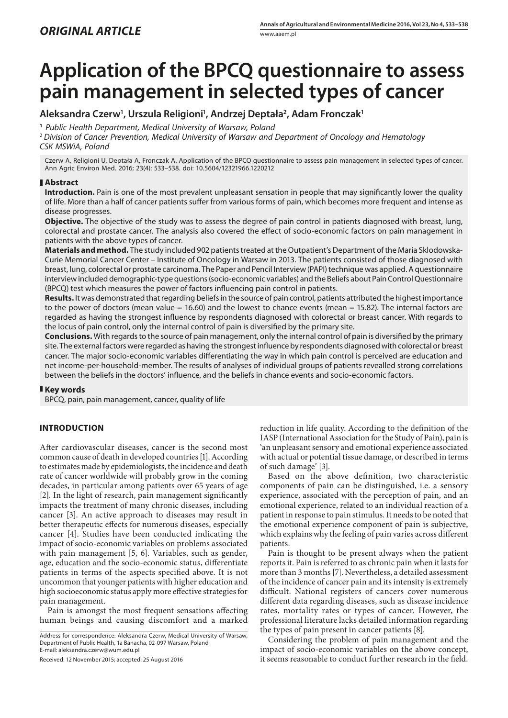# **Application of the BPCQ questionnaire to assess pain management in selected types of cancer**

# **Aleksandra Czerw1 , Urszula Religioni1 , Andrzej Deptała2 , Adam Fronczak1**

**<sup>1</sup>** *Public Health Department, Medical University of Warsaw, Poland*

<sup>2</sup> *Division of Cancer Prevention, Medical University of Warsaw and Department of Oncology and Hematology CSK MSWiA, Poland*

Czerw A, Religioni U, Deptała A, Fronczak A. Application of the BPCQ questionnaire to assess pain management in selected types of cancer. Ann Agric Environ Med. 2016; 23(4): 533–538. doi: 10.5604/12321966.1220212

## **Abstract**

**Introduction.** Pain is one of the most prevalent unpleasant sensation in people that may significantly lower the quality of life. More than a half of cancer patients suffer from various forms of pain, which becomes more frequent and intense as disease progresses.

**Objective.** The objective of the study was to assess the degree of pain control in patients diagnosed with breast, lung, colorectal and prostate cancer. The analysis also covered the effect of socio-economic factors on pain management in patients with the above types of cancer.

**Materials and method.** The study included 902 patients treated at the Outpatient's Department of the Maria Sklodowska-Curie Memorial Cancer Center – Institute of Oncology in Warsaw in 2013. The patients consisted of those diagnosed with breast, lung, colorectal or prostate carcinoma. The Paper and Pencil Interview (PAPI) technique was applied. A questionnaire interview included demographic-type questions (socio-economic variables) and the Beliefs about Pain Control Questionnaire (BPCQ) test which measures the power of factors influencing pain control in patients.

**Results.** It was demonstrated that regarding beliefs in the source of pain control, patients attributed the highest importance to the power of doctors (mean value = 16.60) and the lowest to chance events (mean = 15.82). The internal factors are regarded as having the strongest influence by respondents diagnosed with colorectal or breast cancer. With regards to the locus of pain control, only the internal control of pain is diversified by the primary site.

**Conclusions.** With regards to the source of pain management, only the internal control of pain is diversified by the primary site. The external factors were regarded as having the strongest influence by respondents diagnosed with colorectal or breast cancer. The major socio-economic variables differentiating the way in which pain control is perceived are education and net income-per-household-member. The results of analyses of individual groups of patients revealled strong correlations between the beliefs in the doctors' influence, and the beliefs in chance events and socio-economic factors.

## **Key words**

BPCQ, pain, pain management, cancer, quality of life

# **INTRODUCTION**

After cardiovascular diseases, cancer is the second most common cause of death in developed countries [1]. According to estimates made by epidemiologists, the incidence and death rate of cancer worldwide will probably grow in the coming decades, in particular among patients over 65 years of age [2]. In the light of research, pain management significantly impacts the treatment of many chronic diseases, including cancer [3]. An active approach to diseases may result in better therapeutic effects for numerous diseases, especially cancer [4]. Studies have been conducted indicating the impact of socio-economic variables on problems associated with pain management [5, 6]. Variables, such as gender, age, education and the socio-economic status, differentiate patients in terms of the aspects specified above. It is not uncommon that younger patients with higher education and high socioeconomic status apply more effective strategies for pain management.

Pain is amongst the most frequent sensations affecting human beings and causing discomfort and a marked

Address for correspondence: Aleksandra Czerw, Medical University of Warsaw, Department of Public Health, 1a Banacha, 02-097 Warsaw, Poland E-mail: aleksandra.czerw@wum.edu.pl

Received: 12 November 2015; accepted: 25 August 2016

reduction in life quality. According to the definition of the IASP (International Association for the Study of Pain), pain is 'an unpleasant sensory and emotional experience associated with actual or potential tissue damage, or described in terms of such damage' [3].

Based on the above definition, two characteristic components of pain can be distinguished, i.e. a sensory experience, associated with the perception of pain, and an emotional experience, related to an individual reaction of a patient in response to pain stimulus. It needs to be noted that the emotional experience component of pain is subjective, which explains why the feeling of pain varies across different patients.

Pain is thought to be present always when the patient reports it. Pain is referred to as chronic pain when it lasts for more than 3 months [7]. Nevertheless, a detailed assessment of the incidence of cancer pain and its intensity is extremely difficult. National registers of cancers cover numerous different data regarding diseases, such as disease incidence rates, mortality rates or types of cancer. However, the professional literature lacks detailed information regarding the types of pain present in cancer patients [8].

Considering the problem of pain management and the impact of socio-economic variables on the above concept, it seems reasonable to conduct further research in the field.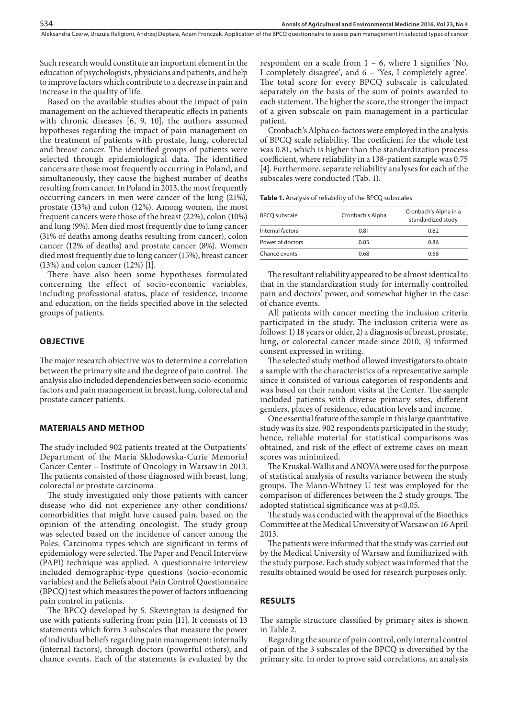Aleksandra Czerw, Urszula Religioni, Andrzej Deptała, Adam Fronczak . Application of the BPCQ questionnaire to assess pain management in selected types of cancer

Such research would constitute an important element in the education of psychologists, physicians and patients, and help to improve factors which contribute to a decrease in pain and increase in the quality of life.

Based on the available studies about the impact of pain management on the achieved therapeutic effects in patients with chronic diseases [6, 9, 10], the authors assumed hypotheses regarding the impact of pain management on the treatment of patients with prostate, lung, colorectal and breast cancer. The identified groups of patients were selected through epidemiological data. The identified cancers are those most frequently occurring in Poland, and simultaneously, they cause the highest number of deaths resulting from cancer. In Poland in 2013, the most frequently occurring cancers in men were cancer of the lung (21%), prostate (13%) and colon (12%). Among women, the most frequent cancers were those of the breast (22%), colon (10%) and lung (9%). Men died most frequently due to lung cancer (31% of deaths among deaths resulting from cancer), colon cancer (12% of deaths) and prostate cancer (8%). Women died most frequently due to lung cancer (15%), breast cancer (13%) and colon cancer (12%) [1].

There have also been some hypotheses formulated concerning the effect of socio-economic variables, including professional status, place of residence, income and education, on the fields specified above in the selected groups of patients.

#### **OBJECTIVE**

The major research objective was to determine a correlation between the primary site and the degree of pain control. The analysis also included dependencies between socio-economic factors and pain management in breast, lung, colorectal and prostate cancer patients.

#### **MATERIALS AND METHOD**

The study included 902 patients treated at the Outpatients' Department of the Maria Sklodowska-Curie Memorial Cancer Center – Institute of Oncology in Warsaw in 2013. The patients consisted of those diagnosed with breast, lung, colorectal or prostate carcinoma.

The study investigated only those patients with cancer disease who did not experience any other conditions/ comorbidities that might have caused pain, based on the opinion of the attending oncologist. The study group was selected based on the incidence of cancer among the Poles. Carcinoma types which are significant in terms of epidemiology were selected. The Paper and Pencil Interview (PAPI) technique was applied. A questionnaire interview included demographic-type questions (socio-economic variables) and the Beliefs about Pain Control Questionnaire (BPCQ) test which measures the power of factors influencing pain control in patients.

The BPCQ developed by S. Skevington is designed for use with patients suffering from pain [11]. It consists of 13 statements which form 3 subscales that measure the power of individual beliefs regarding pain management: internally (internal factors), through doctors (powerful others), and chance events. Each of the statements is evaluated by the respondent on a scale from  $1 - 6$ , where 1 signifies 'No, I completely disagree', and 6 – 'Yes, I completely agree'. The total score for every BPCQ subscale is calculated separately on the basis of the sum of points awarded to each statement. The higher the score, the stronger the impact of a given subscale on pain management in a particular patient.

Cronbach's Alpha co-factors were employed in the analysis of BPCQ scale reliability. The coefficient for the whole test was 0.81, which is higher than the standardization process coefficient, where reliability in a 138-patient sample was 0.75 [4]. Furthermore, separate reliability analyses for each of the subscales were conducted (Tab. 1).

**Table 1.** Analysis of reliability of the BPCQ subscales

| <b>BPCQ</b> subscale | Cronbach's Alpha | Cronbach's Alpha in a<br>standardized study |  |
|----------------------|------------------|---------------------------------------------|--|
| Internal factors     | 0.81             | 0.82                                        |  |
| Power of doctors     | 0.85             | 0.86                                        |  |
| Chance events        | 0.68             | 0.58                                        |  |

The resultant reliability appeared to be almost identical to that in the standardization study for internally controlled pain and doctors' power, and somewhat higher in the case of chance events.

All patients with cancer meeting the inclusion criteria participated in the study. The inclusion criteria were as follows: 1) 18 years or older, 2) a diagnosis of breast, prostate, lung, or colorectal cancer made since 2010, 3) informed consent expressed in writing.

The selected study method allowed investigators to obtain a sample with the characteristics of a representative sample since it consisted of various categories of respondents and was based on their random visits at the Center. The sample included patients with diverse primary sites, different genders, places of residence, education levels and income.

One essential feature of the sample in this large quantitative study was its size. 902 respondents participated in the study; hence, reliable material for statistical comparisons was obtained, and risk of the effect of extreme cases on mean scores was minimized.

The Kruskal-Wallis and ANOVA were used for the purpose of statistical analysis of results variance between the study groups. The Mann-Whitney U test was employed for the comparison of differences between the 2 study groups. The adopted statistical significance was at p<0.05.

The study was conducted with the approval of the Bioethics Committee at the Medical University of Warsaw on 16 April 2013.

The patients were informed that the study was carried out by the Medical University of Warsaw and familiarized with the study purpose. Each study subject was informed that the results obtained would be used for research purposes only.

#### **RESULTS**

The sample structure classified by primary sites is shown in Table 2.

Regarding the source of pain control, only internal control of pain of the 3 subscales of the BPCQ is diversified by the primary site. In order to prove said correlations, an analysis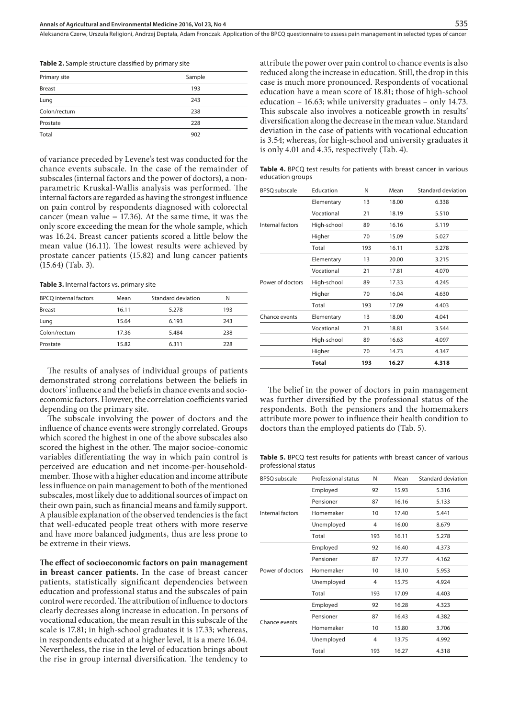Aleksandra Czerw, Urszula Religioni, Andrzej Deptała, Adam Fronczak . Application of the BPCQ questionnaire to assess pain management in selected types of cancer

**Table 2.** Sample structure classified by primary site

| Primary site  | Sample |  |  |  |
|---------------|--------|--|--|--|
| <b>Breast</b> | 193    |  |  |  |
| Lung          | 243    |  |  |  |
| Colon/rectum  | 238    |  |  |  |
| Prostate      | 228    |  |  |  |
| Total         | 902    |  |  |  |

of variance preceded by Levene's test was conducted for the chance events subscale. In the case of the remainder of subscales (internal factors and the power of doctors), a nonparametric Kruskal-Wallis analysis was performed. The internal factors are regarded as having the strongest influence on pain control by respondents diagnosed with colorectal cancer (mean value  $= 17.36$ ). At the same time, it was the only score exceeding the mean for the whole sample, which was 16.24. Breast cancer patients scored a little below the mean value (16.11). The lowest results were achieved by prostate cancer patients (15.82) and lung cancer patients (15.64) (Tab. 3).

**Table 3.** Internal factors vs. primary site

| <b>BPCQ</b> internal factors | Mean  | Standard deviation | N   |
|------------------------------|-------|--------------------|-----|
| <b>Breast</b>                | 16.11 | 5.278              | 193 |
| Lung                         | 15.64 | 6.193              | 243 |
| Colon/rectum                 | 17.36 | 5.484              | 238 |
| Prostate                     | 15.82 | 6.311              | 228 |

The results of analyses of individual groups of patients demonstrated strong correlations between the beliefs in doctors' influence and the beliefs in chance events and socioeconomic factors. However, the correlation coefficients varied depending on the primary site.

The subscale involving the power of doctors and the influence of chance events were strongly correlated. Groups which scored the highest in one of the above subscales also scored the highest in the other. The major socioe-conomic variables differentiating the way in which pain control is perceived are education and net income-per-householdmember. Those with a higher education and income attribute less influence on pain management to both of the mentioned subscales, most likely due to additional sources of impact on their own pain, such as financial means and family support. A plausible explanation of the observed tendencies is the fact that well-educated people treat others with more reserve and have more balanced judgments, thus are less prone to be extreme in their views.

**The effect of socioeconomic factors on pain management in breast cancer patients.** In the case of breast cancer patients, statistically significant dependencies between education and professional status and the subscales of pain control were recorded. The attribution of influence to doctors clearly decreases along increase in education. In persons of vocational education, the mean result in this subscale of the scale is 17.81; in high-school graduates it is 17.33; whereas, in respondents educated at a higher level, it is a mere 16.04. Nevertheless, the rise in the level of education brings about the rise in group internal diversification. The tendency to

attribute the power over pain control to chance events is also reduced along the increase in education. Still, the drop in this case is much more pronounced. Respondents of vocational education have a mean score of 18.81; those of high-school education – 16.63; while university graduates – only 14.73. This subscale also involves a noticeable growth in results' diversification along the decrease in the mean value. Standard deviation in the case of patients with vocational education is 3.54; whereas, for high-school and university graduates it is only 4.01 and 4.35, respectively (Tab. 4).

**Table 4.** BPCQ test results for patients with breast cancer in various education groups

| BPSQ subscale    | Education   | N   | Mean  | Standard deviation |
|------------------|-------------|-----|-------|--------------------|
|                  | Elementary  | 13  | 18.00 | 6.338              |
|                  | Vocational  | 21  | 18.19 | 5.510              |
| Internal factors | High-school | 89  | 16.16 | 5.119              |
|                  | Higher      | 70  | 15.09 | 5.027              |
|                  | Total       | 193 | 16.11 | 5.278              |
|                  | Elementary  | 13  | 20.00 | 3.215              |
|                  | Vocational  | 21  | 17.81 | 4.070              |
| Power of doctors | High-school | 89  | 17.33 | 4.245              |
|                  | Higher      | 70  | 16.04 | 4.630              |
|                  | Total       | 193 | 17.09 | 4.403              |
| Chance events    | Elementary  | 13  | 18.00 | 4.041              |
|                  | Vocational  | 21  | 18.81 | 3.544              |
|                  | High-school | 89  | 16.63 | 4.097              |
|                  | Higher      | 70  | 14.73 | 4.347              |
|                  | Total       | 193 | 16.27 | 4.318              |

The belief in the power of doctors in pain management was further diversified by the professional status of the respondents. Both the pensioners and the homemakers attribute more power to influence their health condition to doctors than the employed patients do (Tab. 5).

**Table 5.** BPCQ test results for patients with breast cancer of various professional status

| <b>BPSQ</b> subscale | Professional status | N   | Mean  | <b>Standard deviation</b> |
|----------------------|---------------------|-----|-------|---------------------------|
| Internal factors     | Employed            | 92  | 15.93 | 5.316                     |
|                      | Pensioner           | 87  | 16.16 | 5.133                     |
|                      | Homemaker           | 10  | 17.40 | 5.441                     |
|                      | Unemployed          | 4   | 16.00 | 8.679                     |
|                      | Total               | 193 | 16.11 | 5.278                     |
|                      | Employed            | 92  | 16.40 | 4.373                     |
| Power of doctors     | Pensioner           | 87  | 17.77 | 4.162                     |
|                      | Homemaker           | 10  | 18.10 | 5.953                     |
|                      | Unemployed          | 4   | 15.75 | 4.924                     |
|                      | Total               | 193 | 17.09 | 4.403                     |
|                      | Employed            | 92  | 16.28 | 4.323                     |
| Chance events        | Pensioner           | 87  | 16.43 | 4.382                     |
|                      | Homemaker           | 10  | 15.80 | 3.706                     |
|                      | Unemployed          | 4   | 13.75 | 4.992                     |
|                      | Total               | 193 | 16.27 | 4.318                     |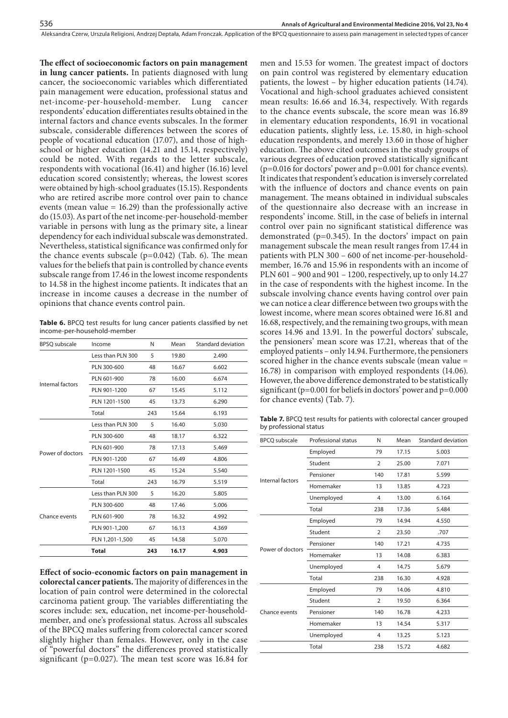Aleksandra Czerw, Urszula Religioni, Andrzej Deptała, Adam Fronczak . Application of the BPCQ questionnaire to assess pain management in selected types of cancer

**The effect of socioeconomic factors on pain management in lung cancer patients.** In patients diagnosed with lung cancer, the socioeconomic variables which differentiated pain management were education, professional status and<br>net-income-per-household-member. Lung cancer net-income-per-household-member. Lung respondents' education differentiates results obtained in the internal factors and chance events subscales. In the former subscale, considerable differences between the scores of people of vocational education (17.07), and those of highschool or higher education (14.21 and 15.14, respectively) could be noted. With regards to the letter subscale, respondents with vocational (16.41) and higher (16.16) level education scored consistently; whereas, the lowest scores were obtained by high-school graduates (15.15). Respondents who are retired ascribe more control over pain to chance events (mean value  $= 16.29$ ) than the professionally active do (15.03). As part of the net income-per-household-member variable in persons with lung as the primary site, a linear dependency for each individual subscale was demonstrated. Nevertheless, statistical significance was confirmed only for the chance events subscale  $(p=0.042)$  (Tab. 6). The mean values for the beliefs that pain is controlled by chance events subscale range from 17.46 in the lowest income respondents to 14.58 in the highest income patients. It indicates that an increase in income causes a decrease in the number of opinions that chance events control pain.

**Table 6.** BPCQ test results for lung cancer patients classified by net income-per-household-member

| <b>BPSQ</b> subscale              | Income            | N   | Mean  | Standard deviation |
|-----------------------------------|-------------------|-----|-------|--------------------|
|                                   | Less than PLN 300 | 5   | 19.80 | 2.490              |
|                                   | PLN 300-600       | 48  | 16.67 | 6.602              |
|                                   | PLN 601-900       | 78  | 16.00 | 6.674              |
| Internal factors                  | PLN 901-1200      | 67  | 15.45 | 5.112              |
|                                   | PLN 1201-1500     | 45  | 13.73 | 6.290              |
|                                   | Total             | 243 | 15.64 | 6.193              |
|                                   | Less than PLN 300 | 5   | 16.40 | 5.030              |
| Power of doctors<br>Chance events | PLN 300-600       | 48  | 18.17 | 6.322              |
|                                   | PLN 601-900       | 78  | 17.13 | 5.469              |
|                                   | PLN 901-1200      | 67  | 16.49 | 4.806              |
|                                   | PLN 1201-1500     | 45  | 15.24 | 5.540              |
|                                   | Total             | 243 | 16.79 | 5.519              |
|                                   | Less than PLN 300 | 5   | 16.20 | 5.805              |
|                                   | PLN 300-600       | 48  | 17.46 | 5.006              |
|                                   | PLN 601-900       | 78  | 16.32 | 4.992              |
|                                   | PLN 901-1,200     | 67  | 16.13 | 4.369              |
|                                   | PLN 1,201-1,500   | 45  | 14.58 | 5.070              |
|                                   | <b>Total</b>      | 243 | 16.17 | 4.903              |

**Effect of socio-economic factors on pain management in colorectal cancer patients.** The majority of differences in the location of pain control were determined in the colorectal carcinoma patient group. The variables differentiating the scores include: sex, education, net income-per-householdmember, and one's professional status. Across all subscales of the BPCQ males suffering from colorectal cancer scored slightly higher than females. However, only in the case of "powerful doctors" the differences proved statistically significant (p=0.027). The mean test score was 16.84 for

men and 15.53 for women. The greatest impact of doctors on pain control was registered by elementary education patients, the lowest – by higher education patients (14.74). Vocational and high-school graduates achieved consistent mean results: 16.66 and 16.34, respectively. With regards to the chance events subscale, the score mean was 16.89 in elementary education respondents, 16.91 in vocational education patients, slightly less, i.e. 15.80, in high-school education respondents, and merely 13.60 in those of higher education. The above cited outcomes in the study groups of various degrees of education proved statistically significant (p=0.016 for doctors' power and p=0.001 for chance events). It indicates that respondent's education is inversely correlated with the influence of doctors and chance events on pain management. The means obtained in individual subscales of the questionnaire also decrease with an increase in respondents' income. Still, in the case of beliefs in internal control over pain no significant statistical difference was demonstrated (p=0.345). In the doctors' impact on pain management subscale the mean result ranges from 17.44 in patients with PLN 300 – 600 of net income-per-householdmember, 16.76 and 15.96 in respondents with an income of PLN 601 – 900 and 901 – 1200, respectively, up to only 14.27 in the case of respondents with the highest income. In the subscale involving chance events having control over pain we can notice a clear difference between two groups with the lowest income, where mean scores obtained were 16.81 and 16.68, respectively, and the remaining two groups, with mean scores 14.96 and 13.91. In the powerful doctors' subscale, the pensioners' mean score was 17.21, whereas that of the employed patients – only 14.94. Furthermore, the pensioners scored higher in the chance events subscale (mean value = 16.78) in comparison with employed respondents (14.06). However, the above difference demonstrated to be statistically significant (p=0.001 for beliefs in doctors' power and p=0.000 for chance events) (Tab. 7).

**Table 7.** BPCQ test results for patients with colorectal cancer grouped by professional status

| <b>BPCO</b> subscale | Professional status | N              | Mean  | Standard deviation |
|----------------------|---------------------|----------------|-------|--------------------|
|                      | Employed            | 79             | 17.15 | 5.003              |
|                      | Student             | $\overline{2}$ | 25.00 | 7.071              |
| Internal factors     | Pensioner           | 140            | 17.81 | 5.599              |
|                      | Homemaker           | 13             | 13.85 | 4.723              |
|                      | Unemployed          | $\overline{4}$ | 13.00 | 6.164              |
|                      | Total               | 238            | 17.36 | 5.484              |
|                      | Employed            | 79             | 14.94 | 4.550              |
|                      | Student             | $\overline{2}$ | 23.50 | .707               |
| Power of doctors     | Pensioner           | 140            | 17.21 | 4.735              |
|                      | Homemaker           | 13             | 14.08 | 6.383              |
|                      | Unemployed          | 4              | 14.75 | 5.679              |
|                      | Total               | 238            | 16.30 | 4.928              |
|                      | Employed            | 79             | 14.06 | 4.810              |
|                      | Student             | $\overline{2}$ | 19.50 | 6.364              |
| Chance events        | Pensioner           | 140            | 16.78 | 4.233              |
|                      | Homemaker           | 13             | 14.54 | 5.317              |
|                      | Unemployed          | $\overline{4}$ | 13.25 | 5.123              |
|                      | Total               | 238            | 15.72 | 4.682              |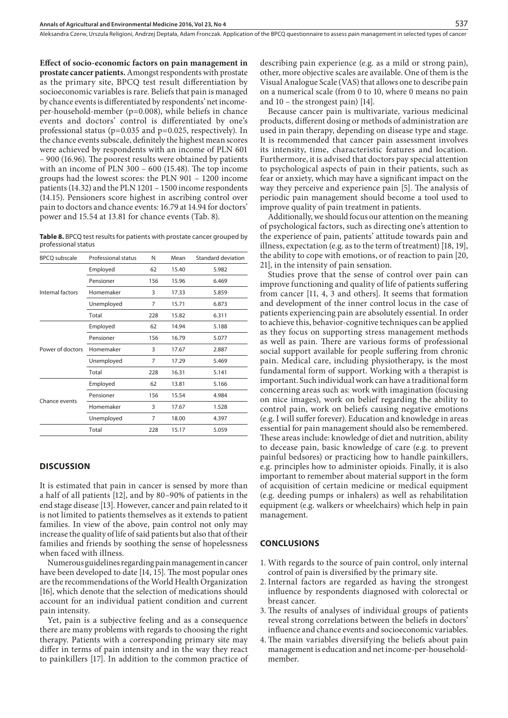**Effect of socio-economic factors on pain management in prostate cancer patients.** Amongst respondents with prostate as the primary site, BPCQ test result differentiation by socioeconomic variables is rare. Beliefs that pain is managed by chance events is differentiated by respondents' net incomeper-household-member (p=0.008), while beliefs in chance events and doctors' control is differentiated by one's professional status (p=0.035 and p=0.025, respectively). In the chance events subscale, definitely the highest mean scores were achieved by respondents with an income of PLN 601 – 900 (16.96). The poorest results were obtained by patients with an income of PLN 300 – 600 (15.48). The top income groups had the lowest scores: the PLN 901 – 1200 income patients (14.32) and the PLN 1201 – 1500 income respondents (14.15). Pensioners score highest in ascribing control over pain to doctors and chance events: 16.79 at 14.94 for doctors' power and 15.54 at 13.81 for chance events (Tab. 8).

**Table 8.** BPCQ test results for patients with prostate cancer grouped by professional status

| <b>BPCQ</b> subscale | <b>Professional status</b> | N   | Mean  | Standard deviation |
|----------------------|----------------------------|-----|-------|--------------------|
|                      | Employed                   | 62  | 15.40 | 5.982              |
|                      | Pensioner                  | 156 | 15.96 | 6.469              |
| Internal factors     | Homemaker                  | 3   | 17.33 | 5.859              |
|                      | Unemployed                 | 7   | 15.71 | 6.873              |
|                      | Total                      | 228 | 15.82 | 6.311              |
|                      | Employed                   | 62  | 14.94 | 5.188              |
|                      | Pensioner                  | 156 | 16.79 | 5.077              |
| Power of doctors     | Homemaker                  | 3   | 17.67 | 2.887              |
|                      | Unemployed                 | 7   | 17.29 | 5.469              |
|                      | Total                      | 228 | 16.31 | 5.141              |
| Chance events        | Employed                   | 62  | 13.81 | 5.166              |
|                      | Pensioner                  | 156 | 15.54 | 4.984              |
|                      | Homemaker                  | 3   | 17.67 | 1.528              |
|                      | Unemployed                 | 7   | 18.00 | 4.397              |
|                      | Total                      | 228 | 15.17 | 5.059              |

#### **DISCUSSION**

It is estimated that pain in cancer is sensed by more than a half of all patients [12], and by 80–90% of patients in the end stage disease [13]. However, cancer and pain related to it is not limited to patients themselves as it extends to patient families. In view of the above, pain control not only may increase the quality of life of said patients but also that of their families and friends by soothing the sense of hopelessness when faced with illness.

Numerous guidelines regarding pain management in cancer have been developed to date [14, 15]. The most popular ones are the recommendations of the World Health Organization [16], which denote that the selection of medications should account for an individual patient condition and current pain intensity.

Yet, pain is a subjective feeling and as a consequence there are many problems with regards to choosing the right therapy. Patients with a corresponding primary site may differ in terms of pain intensity and in the way they react to painkillers [17]. In addition to the common practice of describing pain experience (e.g. as a mild or strong pain), other, more objective scales are available. One of them is the Visual Analogue Scale (VAS) that allows one to describe pain on a numerical scale (from 0 to 10, where 0 means no pain and 10 – the strongest pain) [14].

Because cancer pain is multivariate, various medicinal products, different dosing or methods of administration are used in pain therapy, depending on disease type and stage. It is recommended that cancer pain assessment involves its intensity, time, characteristic features and location. Furthermore, it is advised that doctors pay special attention to psychological aspects of pain in their patients, such as fear or anxiety, which may have a significant impact on the way they perceive and experience pain [5]. The analysis of periodic pain management should become a tool used to improve quality of pain treatment in patients.

Additionally, we should focus our attention on the meaning of psychological factors, such as directing one's attention to the experience of pain, patients' attitude towards pain and illness, expectation (e.g. as to the term of treatment) [18, 19], the ability to cope with emotions, or of reaction to pain [20, 21], in the intensity of pain sensation.

Studies prove that the sense of control over pain can improve functioning and quality of life of patients suffering from cancer [11, 4, 3 and others]. It seems that formation and development of the inner control locus in the case of patients experiencing pain are absolutely essential. In order to achieve this, behavior-cognitive techniques can be applied as they focus on supporting stress management methods as well as pain. There are various forms of professional social support available for people suffering from chronic pain. Medical care, including physiotherapy, is the most fundamental form of support. Working with a therapist is important. Such individual work can have a traditional form concerning areas such as: work with imagination (focusing on nice images), work on belief regarding the ability to control pain, work on beliefs causing negative emotions (e.g. I will suffer forever). Education and knowledge in areas essential for pain management should also be remembered. These areas include: knowledge of diet and nutrition, ability to decease pain, basic knowledge of care (e.g. to prevent painful bedsores) or practicing how to handle painkillers, e.g. principles how to administer opioids. Finally, it is also important to remember about material support in the form of acquisition of certain medicine or medical equipment (e.g. deeding pumps or inhalers) as well as rehabilitation equipment (e.g. walkers or wheelchairs) which help in pain management.

#### **CONCLUSIONS**

- 1. With regards to the source of pain control, only internal control of pain is diversified by the primary site.
- 2.Internal factors are regarded as having the strongest influence by respondents diagnosed with colorectal or breast cancer.
- 3. The results of analyses of individual groups of patients reveal strong correlations between the beliefs in doctors' influence and chance events and socioeconomic variables.
- 4.The main variables diversifying the beliefs about pain management is education and net income-per-householdmember.